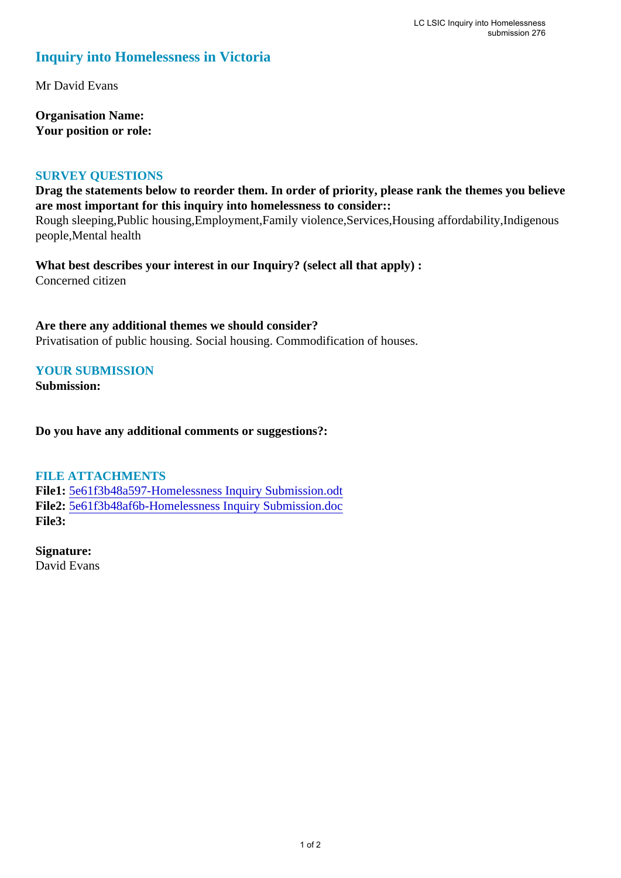## **Inquiry into Homelessness in Victoria**

Mr David Evans

**Organisation Name: Your position or role:** 

## **SURVEY QUESTIONS**

**Drag the statements below to reorder them. In order of priority, please rank the themes you believe are most important for this inquiry into homelessness to consider::** 

Rough sleeping,Public housing,Employment,Family violence,Services,Housing affordability,Indigenous people,Mental health

**What best describes your interest in our Inquiry? (select all that apply) :**  Concerned citizen

**Are there any additional themes we should consider?** Privatisation of public housing. Social housing. Commodification of houses.

## **YOUR SUBMISSION**

**Submission:** 

**Do you have any additional comments or suggestions?:** 

## **FILE ATTACHMENTS**

**File1:** [5e61f3b48a597-Homelessness Inquiry Submission.odt](https://parliament.vic.gov.au/component/rsform/submission-view-file/18e0b6f4ab879ffdd6000e44e108f2cc/7b63b1b7369cbbc6c678106a272079a1?Itemid=463) **File2:** [5e61f3b48af6b-Homelessness Inquiry Submission.doc](https://parliament.vic.gov.au/component/rsform/submission-view-file/c2d5617b14d6c2f2ca53a56e91c3c98e/7c230ab17b2b4dc5f44368823fc8dafc?Itemid=463) **File3:** 

**Signature:** David Evans